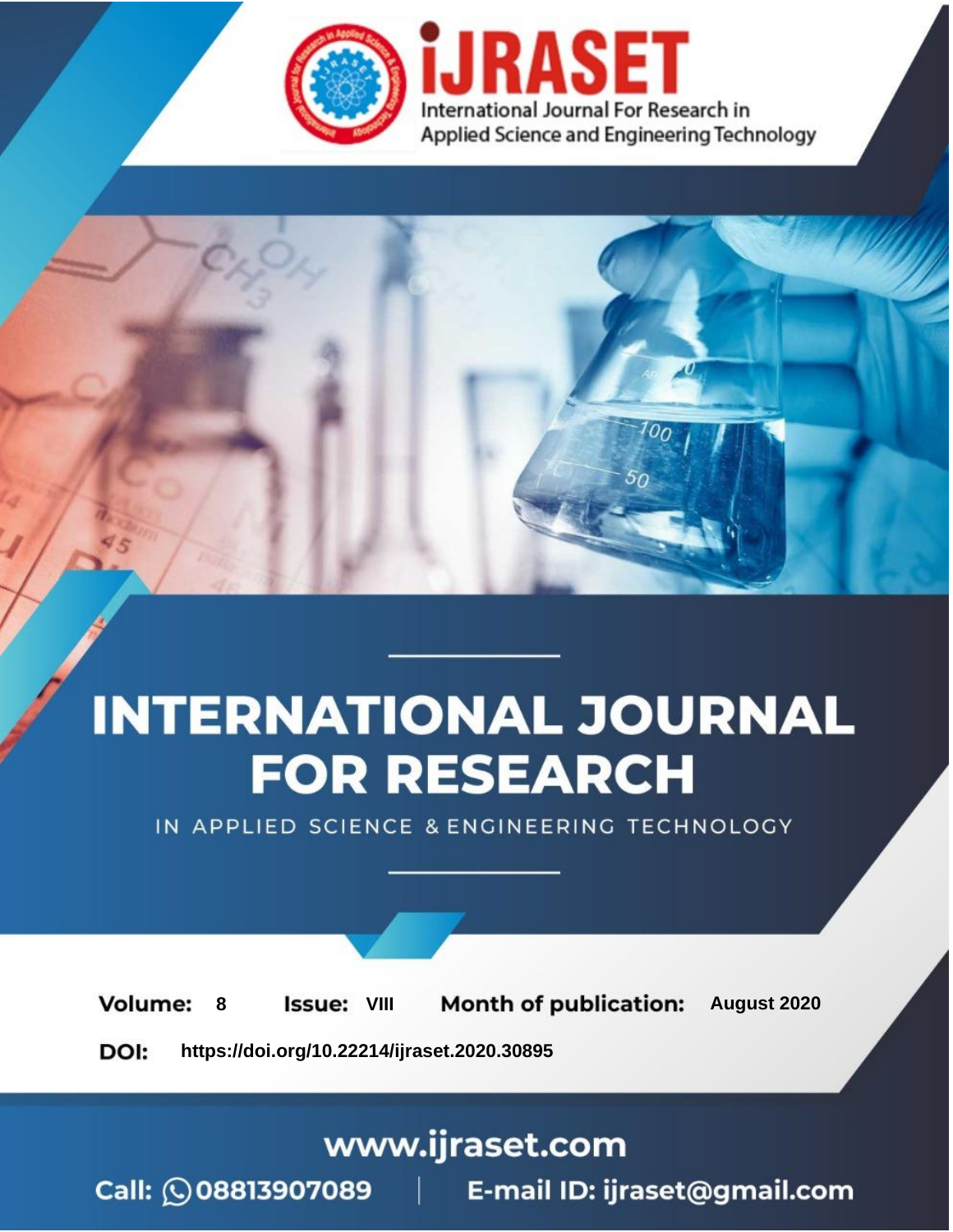

# **INTERNATIONAL JOURNAL FOR RESEARCH**

IN APPLIED SCIENCE & ENGINEERING TECHNOLOGY

**Month of publication: Volume: Issue: VIII** August 2020 8 DOI: https://doi.org/10.22214/ijraset.2020.30895

### www.ijraset.com

 $Call: \bigcirc$ 08813907089 E-mail ID: ijraset@gmail.com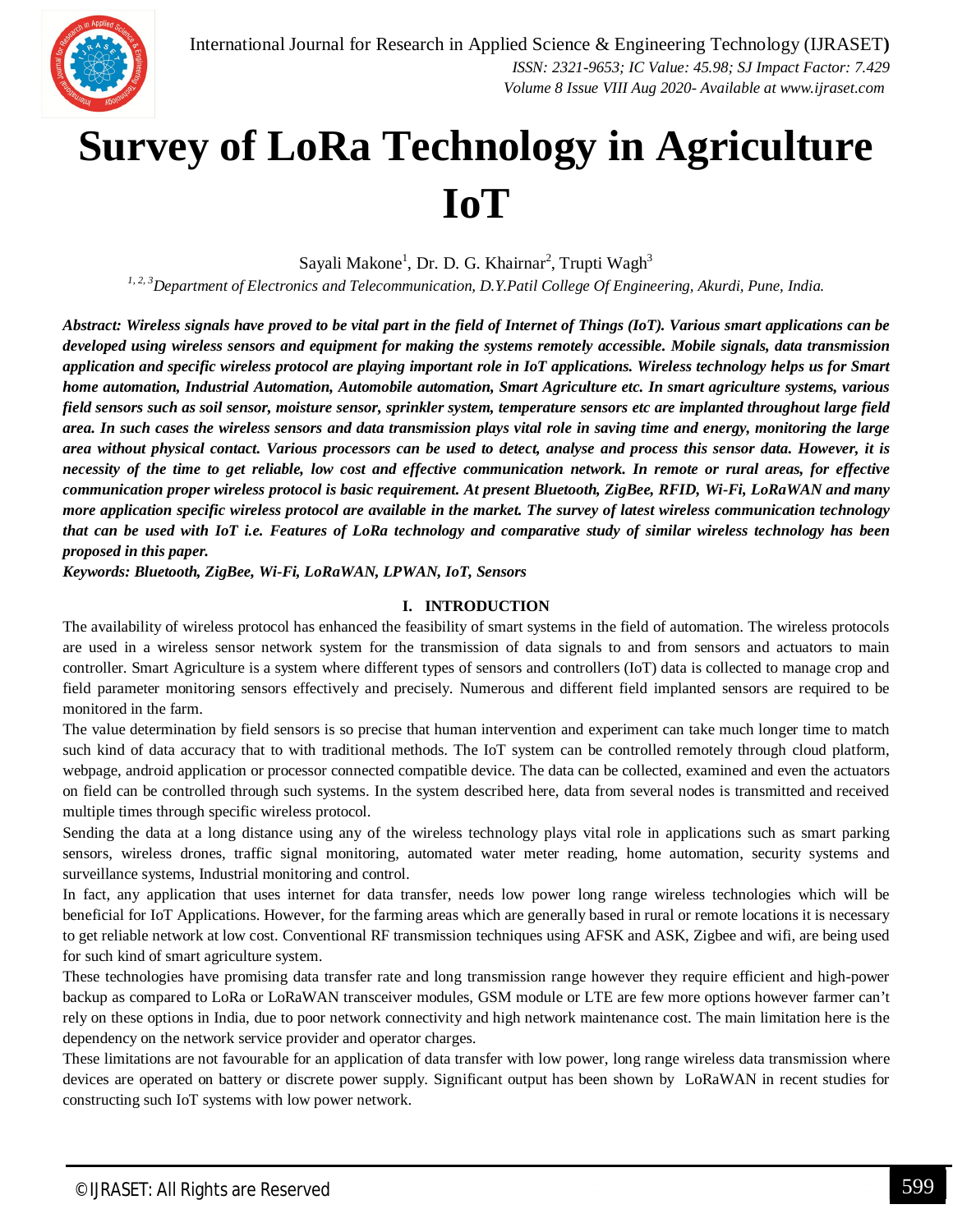

### **Survey of LoRa Technology in Agriculture IoT**

Sayali Makone<sup>1</sup>, Dr. D. G. Khairnar<sup>2</sup>, Trupti Wagh<sup>3</sup>

*1, 2, <sup>3</sup>Department of Electronics and Telecommunication, D.Y.Patil College Of Engineering, Akurdi, Pune, India.*

*Abstract: Wireless signals have proved to be vital part in the field of Internet of Things (IoT). Various smart applications can be developed using wireless sensors and equipment for making the systems remotely accessible. Mobile signals, data transmission application and specific wireless protocol are playing important role in IoT applications. Wireless technology helps us for Smart home automation, Industrial Automation, Automobile automation, Smart Agriculture etc. In smart agriculture systems, various field sensors such as soil sensor, moisture sensor, sprinkler system, temperature sensors etc are implanted throughout large field area. In such cases the wireless sensors and data transmission plays vital role in saving time and energy, monitoring the large area without physical contact. Various processors can be used to detect, analyse and process this sensor data. However, it is necessity of the time to get reliable, low cost and effective communication network. In remote or rural areas, for effective communication proper wireless protocol is basic requirement. At present Bluetooth, ZigBee, RFID, Wi-Fi, LoRaWAN and many more application specific wireless protocol are available in the market. The survey of latest wireless communication technology that can be used with IoT i.e. Features of LoRa technology and comparative study of similar wireless technology has been proposed in this paper.*

*Keywords: Bluetooth, ZigBee, Wi-Fi, LoRaWAN, LPWAN, IoT, Sensors*

#### **I. INTRODUCTION**

The availability of wireless protocol has enhanced the feasibility of smart systems in the field of automation. The wireless protocols are used in a wireless sensor network system for the transmission of data signals to and from sensors and actuators to main controller. Smart Agriculture is a system where different types of sensors and controllers (IoT) data is collected to manage crop and field parameter monitoring sensors effectively and precisely. Numerous and different field implanted sensors are required to be monitored in the farm.

The value determination by field sensors is so precise that human intervention and experiment can take much longer time to match such kind of data accuracy that to with traditional methods. The IoT system can be controlled remotely through cloud platform, webpage, android application or processor connected compatible device. The data can be collected, examined and even the actuators on field can be controlled through such systems. In the system described here, data from several nodes is transmitted and received multiple times through specific wireless protocol.

Sending the data at a long distance using any of the wireless technology plays vital role in applications such as smart parking sensors, wireless drones, traffic signal monitoring, automated water meter reading, home automation, security systems and surveillance systems, Industrial monitoring and control.

In fact, any application that uses internet for data transfer, needs low power long range wireless technologies which will be beneficial for IoT Applications. However, for the farming areas which are generally based in rural or remote locations it is necessary to get reliable network at low cost. Conventional RF transmission techniques using AFSK and ASK, Zigbee and wifi, are being used for such kind of smart agriculture system.

These technologies have promising data transfer rate and long transmission range however they require efficient and high-power backup as compared to LoRa or LoRaWAN transceiver modules, GSM module or LTE are few more options however farmer can't rely on these options in India, due to poor network connectivity and high network maintenance cost. The main limitation here is the dependency on the network service provider and operator charges.

These limitations are not favourable for an application of data transfer with low power, long range wireless data transmission where devices are operated on battery or discrete power supply. Significant output has been shown by LoRaWAN in recent studies for constructing such IoT systems with low power network.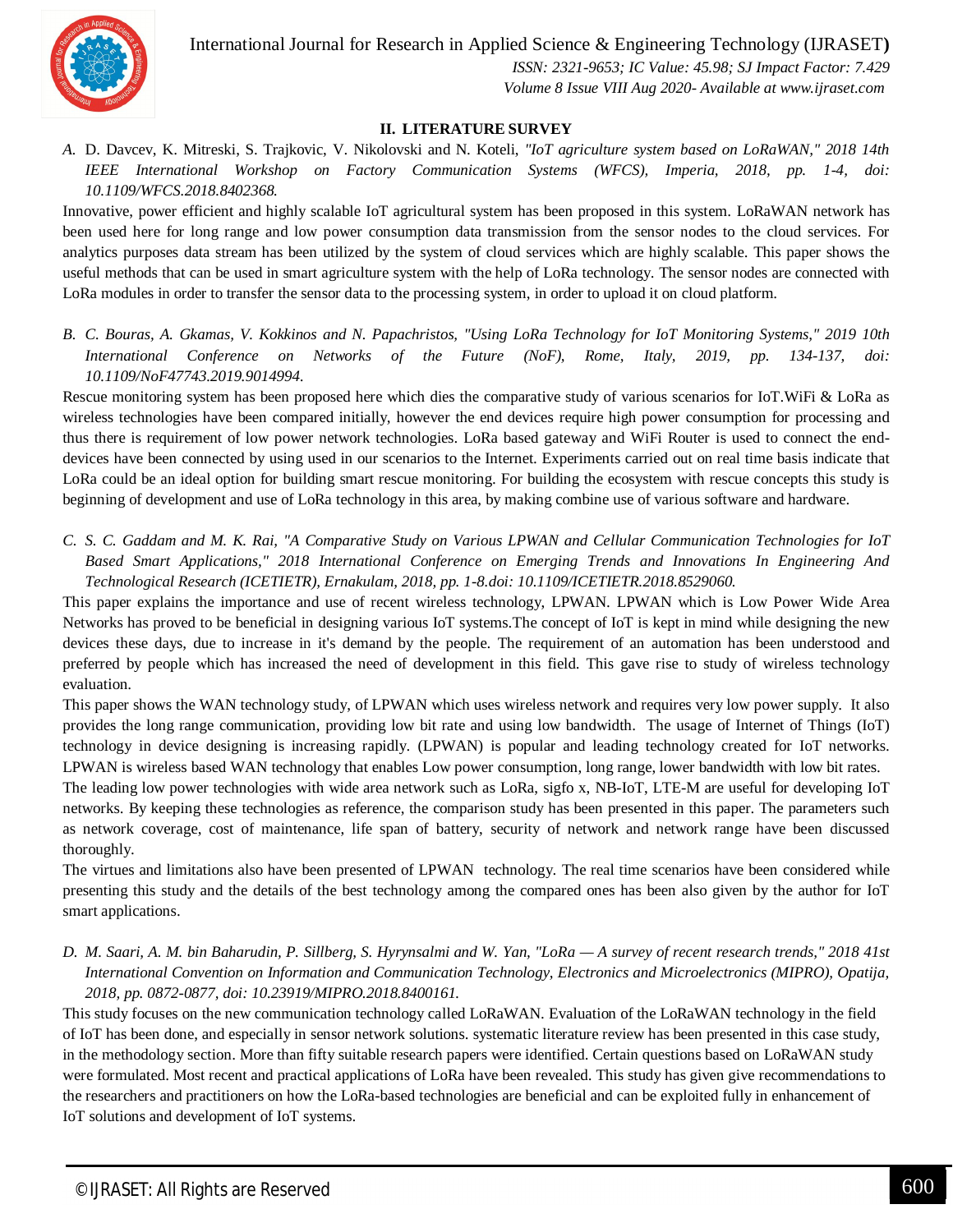International Journal for Research in Applied Science & Engineering Technology (IJRASET**)**



 *ISSN: 2321-9653; IC Value: 45.98; SJ Impact Factor: 7.429 Volume 8 Issue VIII Aug 2020- Available at www.ijraset.com*

#### **II. LITERATURE SURVEY**

*A.* D. Davcev, K. Mitreski, S. Trajkovic, V. Nikolovski and N. Koteli, *"IoT agriculture system based on LoRaWAN," 2018 14th IEEE International Workshop on Factory Communication Systems (WFCS), Imperia, 2018, pp. 1-4, doi: 10.1109/WFCS.2018.8402368.*

Innovative, power efficient and highly scalable IoT agricultural system has been proposed in this system. LoRaWAN network has been used here for long range and low power consumption data transmission from the sensor nodes to the cloud services. For analytics purposes data stream has been utilized by the system of cloud services which are highly scalable. This paper shows the useful methods that can be used in smart agriculture system with the help of LoRa technology. The sensor nodes are connected with LoRa modules in order to transfer the sensor data to the processing system, in order to upload it on cloud platform.

*B. C. Bouras, A. Gkamas, V. Kokkinos and N. Papachristos, "Using LoRa Technology for IoT Monitoring Systems," 2019 10th International Conference on Networks of the Future (NoF), Rome, Italy, 2019, pp. 134-137, doi: 10.1109/NoF47743.2019.9014994.*

Rescue monitoring system has been proposed here which dies the comparative study of various scenarios for IoT.WiFi & LoRa as wireless technologies have been compared initially, however the end devices require high power consumption for processing and thus there is requirement of low power network technologies. LoRa based gateway and WiFi Router is used to connect the enddevices have been connected by using used in our scenarios to the Internet. Experiments carried out on real time basis indicate that LoRa could be an ideal option for building smart rescue monitoring. For building the ecosystem with rescue concepts this study is beginning of development and use of LoRa technology in this area, by making combine use of various software and hardware.

*C. S. C. Gaddam and M. K. Rai, "A Comparative Study on Various LPWAN and Cellular Communication Technologies for IoT Based Smart Applications," 2018 International Conference on Emerging Trends and Innovations In Engineering And Technological Research (ICETIETR), Ernakulam, 2018, pp. 1-8.doi: 10.1109/ICETIETR.2018.8529060.*

This paper explains the importance and use of recent wireless technology, LPWAN. LPWAN which is Low Power Wide Area Networks has proved to be beneficial in designing various IoT systems.The concept of IoT is kept in mind while designing the new devices these days, due to increase in it's demand by the people. The requirement of an automation has been understood and preferred by people which has increased the need of development in this field. This gave rise to study of wireless technology evaluation.

This paper shows the WAN technology study, of LPWAN which uses wireless network and requires very low power supply. It also provides the long range communication, providing low bit rate and using low bandwidth. The usage of Internet of Things (IoT) technology in device designing is increasing rapidly. (LPWAN) is popular and leading technology created for IoT networks. LPWAN is wireless based WAN technology that enables Low power consumption, long range, lower bandwidth with low bit rates. The leading low power technologies with wide area network such as LoRa, sigfo x, NB-IoT, LTE-M are useful for developing IoT networks. By keeping these technologies as reference, the comparison study has been presented in this paper. The parameters such as network coverage, cost of maintenance, life span of battery, security of network and network range have been discussed thoroughly.

The virtues and limitations also have been presented of LPWAN technology. The real time scenarios have been considered while presenting this study and the details of the best technology among the compared ones has been also given by the author for IoT smart applications.

*D. M. Saari, A. M. bin Baharudin, P. Sillberg, S. Hyrynsalmi and W. Yan, "LoRa — A survey of recent research trends," 2018 41st International Convention on Information and Communication Technology, Electronics and Microelectronics (MIPRO), Opatija, 2018, pp. 0872-0877, doi: 10.23919/MIPRO.2018.8400161.*

This study focuses on the new communication technology called LoRaWAN. Evaluation of the LoRaWAN technology in the field of IoT has been done, and especially in sensor network solutions. systematic literature review has been presented in this case study, in the methodology section. More than fifty suitable research papers were identified. Certain questions based on LoRaWAN study were formulated. Most recent and practical applications of LoRa have been revealed. This study has given give recommendations to the researchers and practitioners on how the LoRa-based technologies are beneficial and can be exploited fully in enhancement of IoT solutions and development of IoT systems.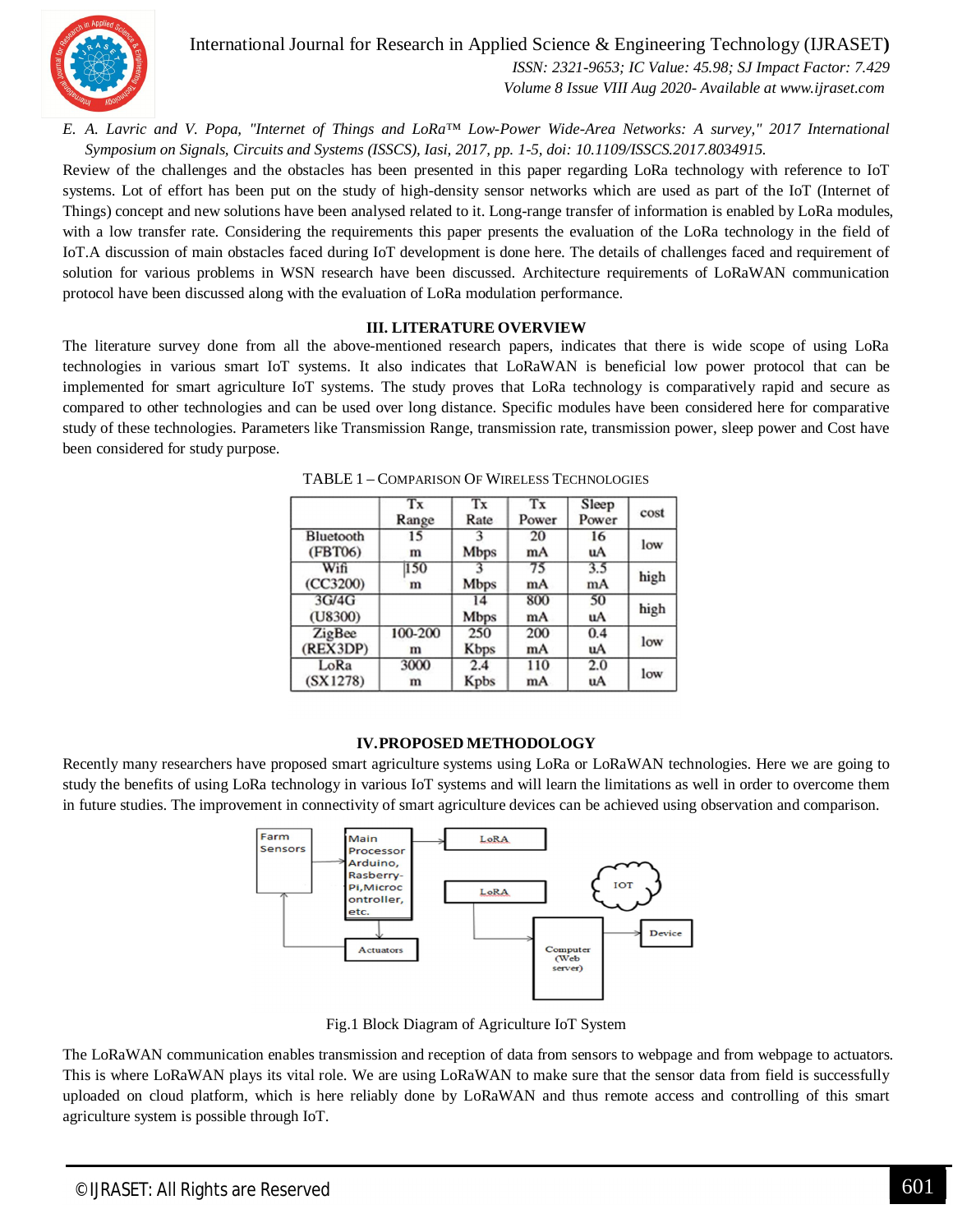

International Journal for Research in Applied Science & Engineering Technology (IJRASET**)**  *ISSN: 2321-9653; IC Value: 45.98; SJ Impact Factor: 7.429*

 *Volume 8 Issue VIII Aug 2020- Available at www.ijraset.com*

*E. A. Lavric and V. Popa, "Internet of Things and LoRa™ Low-Power Wide-Area Networks: A survey," 2017 International Symposium on Signals, Circuits and Systems (ISSCS), Iasi, 2017, pp. 1-5, doi: 10.1109/ISSCS.2017.8034915.*

Review of the challenges and the obstacles has been presented in this paper regarding LoRa technology with reference to IoT systems. Lot of effort has been put on the study of high-density sensor networks which are used as part of the IoT (Internet of Things) concept and new solutions have been analysed related to it. Long-range transfer of information is enabled by LoRa modules, with a low transfer rate. Considering the requirements this paper presents the evaluation of the LoRa technology in the field of IoT.A discussion of main obstacles faced during IoT development is done here. The details of challenges faced and requirement of solution for various problems in WSN research have been discussed. Architecture requirements of LoRaWAN communication protocol have been discussed along with the evaluation of LoRa modulation performance.

#### **III. LITERATURE OVERVIEW**

The literature survey done from all the above-mentioned research papers, indicates that there is wide scope of using LoRa technologies in various smart IoT systems. It also indicates that LoRaWAN is beneficial low power protocol that can be implemented for smart agriculture IoT systems. The study proves that LoRa technology is comparatively rapid and secure as compared to other technologies and can be used over long distance. Specific modules have been considered here for comparative study of these technologies. Parameters like Transmission Range, transmission rate, transmission power, sleep power and Cost have been considered for study purpose.

|                        | Tx<br>Range  | Tx<br>Rate          | Tx<br>Power | Sleep<br>Power | cost |
|------------------------|--------------|---------------------|-------------|----------------|------|
| Bluetooth<br>(FBT06)   | 15<br>m      | <b>Mbps</b>         | 20<br>mA    | 16<br>uA       | low  |
| Wifi<br>(CC3200)       | 150<br>m     | <b>Mbps</b>         | 75<br>mA    | 3.5<br>mA      | high |
| 3G/4G<br>$($ U8300 $)$ |              | 14<br>Mbps          | 800<br>mA   | 50<br>uA       | high |
| ZigBee<br>(REX3DP)     | 100-200<br>m | 250<br><b>K</b> bps | 200<br>mA   | 0.4<br>uA      | low  |
| LoRa<br>(SX1278)       | 3000<br>m    | 2.4<br>Kpbs         | 110<br>mA   | 2.0<br>uA      | low  |

TABLE 1 – COMPARISON OF WIRELESS TECHNOLOGIES

#### **IV.PROPOSED METHODOLOGY**

Recently many researchers have proposed smart agriculture systems using LoRa or LoRaWAN technologies. Here we are going to study the benefits of using LoRa technology in various IoT systems and will learn the limitations as well in order to overcome them in future studies. The improvement in connectivity of smart agriculture devices can be achieved using observation and comparison.



Fig.1 Block Diagram of Agriculture IoT System

The LoRaWAN communication enables transmission and reception of data from sensors to webpage and from webpage to actuators. This is where LoRaWAN plays its vital role. We are using LoRaWAN to make sure that the sensor data from field is successfully uploaded on cloud platform, which is here reliably done by LoRaWAN and thus remote access and controlling of this smart agriculture system is possible through IoT.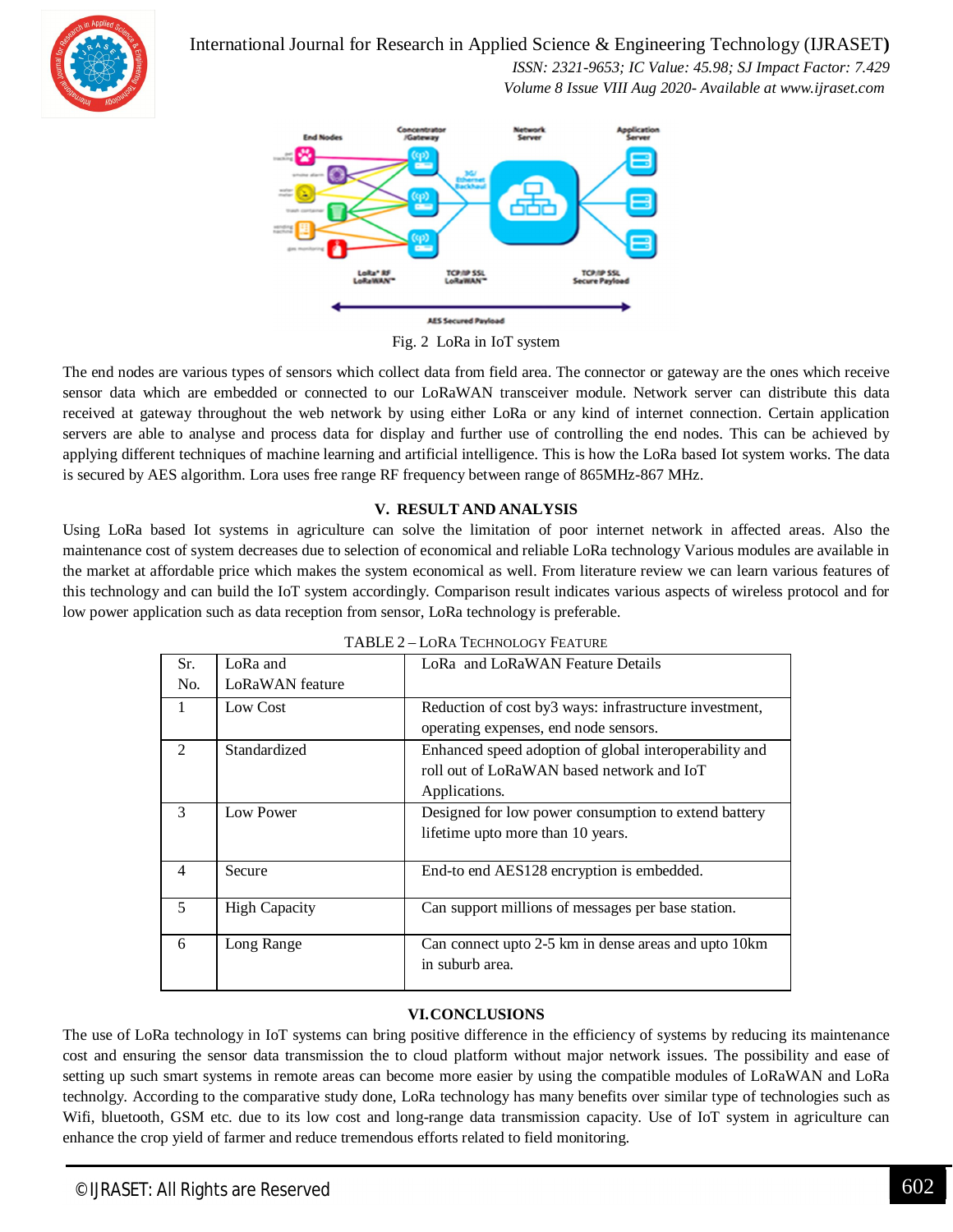International Journal for Research in Applied Science & Engineering Technology (IJRASET**)**



 *ISSN: 2321-9653; IC Value: 45.98; SJ Impact Factor: 7.429 Volume 8 Issue VIII Aug 2020- Available at www.ijraset.com*



Fig. 2 LoRa in IoT system

The end nodes are various types of sensors which collect data from field area. The connector or gateway are the ones which receive sensor data which are embedded or connected to our LoRaWAN transceiver module. Network server can distribute this data received at gateway throughout the web network by using either LoRa or any kind of internet connection. Certain application servers are able to analyse and process data for display and further use of controlling the end nodes. This can be achieved by applying different techniques of machine learning and artificial intelligence. This is how the LoRa based Iot system works. The data is secured by AES algorithm. Lora uses free range RF frequency between range of 865MHz-867 MHz.

#### **V. RESULT AND ANALYSIS**

Using LoRa based Iot systems in agriculture can solve the limitation of poor internet network in affected areas. Also the maintenance cost of system decreases due to selection of economical and reliable LoRa technology Various modules are available in the market at affordable price which makes the system economical as well. From literature review we can learn various features of this technology and can build the IoT system accordingly. Comparison result indicates various aspects of wireless protocol and for low power application such as data reception from sensor, LoRa technology is preferable.

| Sr.            | LoRa and             | LoRa and LoRaWAN Feature Details                        |  |  |
|----------------|----------------------|---------------------------------------------------------|--|--|
| No.            | LoRaWAN feature      |                                                         |  |  |
| 1              | Low Cost             | Reduction of cost by 3 ways: infrastructure investment, |  |  |
|                |                      | operating expenses, end node sensors.                   |  |  |
| $\overline{2}$ | Standardized         | Enhanced speed adoption of global interoperability and  |  |  |
|                |                      | roll out of LoRaWAN based network and IoT               |  |  |
|                |                      | Applications.                                           |  |  |
| 3              | Low Power            | Designed for low power consumption to extend battery    |  |  |
|                |                      | lifetime upto more than 10 years.                       |  |  |
|                |                      |                                                         |  |  |
| $\overline{4}$ | Secure               | End-to end AES128 encryption is embedded.               |  |  |
|                |                      |                                                         |  |  |
| 5              | <b>High Capacity</b> | Can support millions of messages per base station.      |  |  |
|                |                      |                                                         |  |  |
| 6              | Long Range           | Can connect upto 2-5 km in dense areas and upto 10 km   |  |  |
|                |                      | in suburb area.                                         |  |  |
|                |                      |                                                         |  |  |

| TABLE 2 – LORA TECHNOLOGY FEATURE |  |
|-----------------------------------|--|
|-----------------------------------|--|

#### **VI.CONCLUSIONS**

The use of LoRa technology in IoT systems can bring positive difference in the efficiency of systems by reducing its maintenance cost and ensuring the sensor data transmission the to cloud platform without major network issues. The possibility and ease of setting up such smart systems in remote areas can become more easier by using the compatible modules of LoRaWAN and LoRa technolgy. According to the comparative study done, LoRa technology has many benefits over similar type of technologies such as Wifi, bluetooth, GSM etc. due to its low cost and long-range data transmission capacity. Use of IoT system in agriculture can enhance the crop yield of farmer and reduce tremendous efforts related to field monitoring.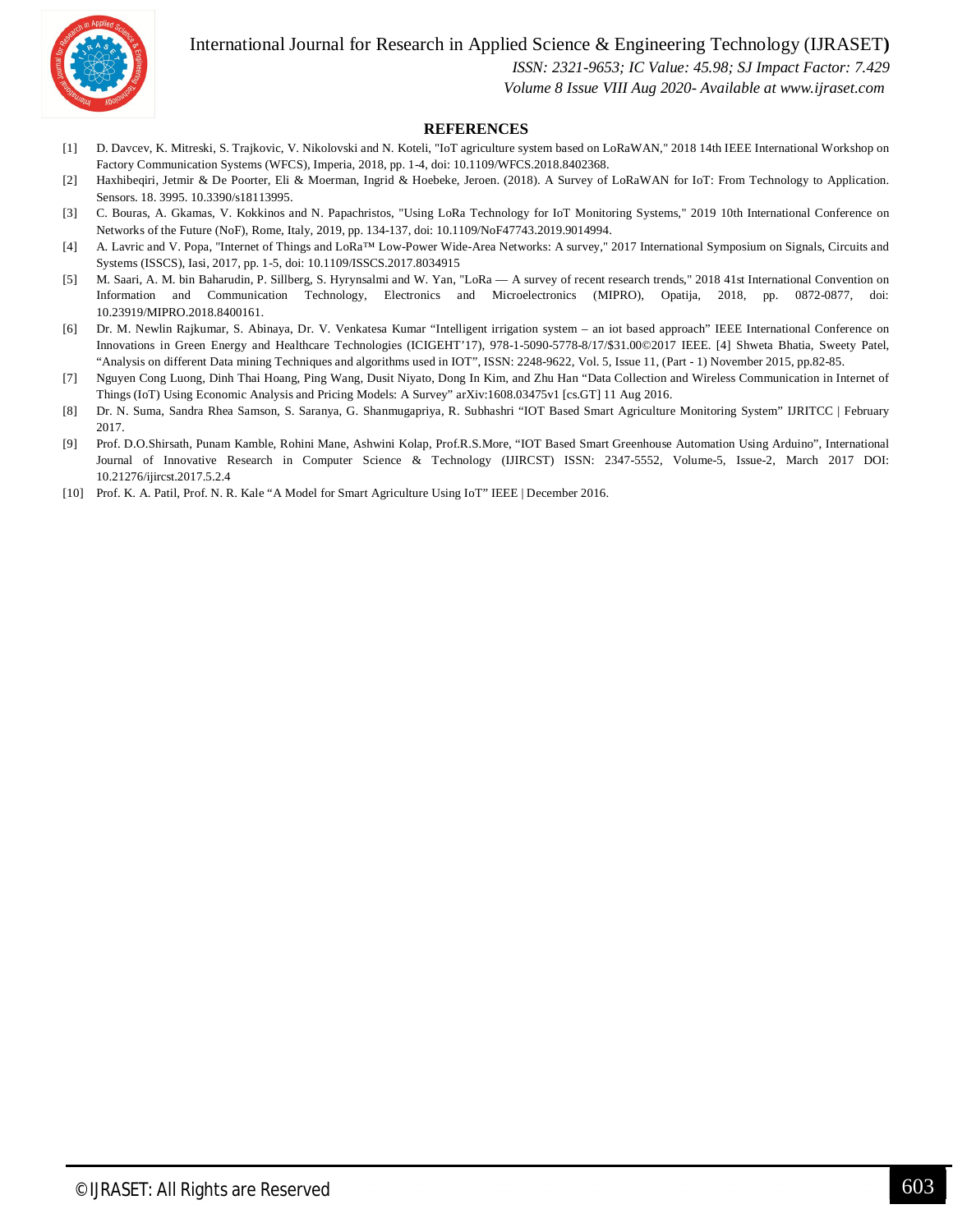International Journal for Research in Applied Science & Engineering Technology (IJRASET**)**



 *ISSN: 2321-9653; IC Value: 45.98; SJ Impact Factor: 7.429*

 *Volume 8 Issue VIII Aug 2020- Available at www.ijraset.com*

#### **REFERENCES**

- [1] D. Davcev, K. Mitreski, S. Trajkovic, V. Nikolovski and N. Koteli, "IoT agriculture system based on LoRaWAN," 2018 14th IEEE International Workshop on Factory Communication Systems (WFCS), Imperia, 2018, pp. 1-4, doi: 10.1109/WFCS.2018.8402368.
- [2] Haxhibeqiri, Jetmir & De Poorter, Eli & Moerman, Ingrid & Hoebeke, Jeroen. (2018). A Survey of LoRaWAN for IoT: From Technology to Application. Sensors. 18. 3995. 10.3390/s18113995.
- [3] C. Bouras, A. Gkamas, V. Kokkinos and N. Papachristos, "Using LoRa Technology for IoT Monitoring Systems," 2019 10th International Conference on Networks of the Future (NoF), Rome, Italy, 2019, pp. 134-137, doi: 10.1109/NoF47743.2019.9014994.
- [4] A. Lavric and V. Popa, "Internet of Things and LoRa™ Low-Power Wide-Area Networks: A survey," 2017 International Symposium on Signals, Circuits and Systems (ISSCS), Iasi, 2017, pp. 1-5, doi: 10.1109/ISSCS.2017.8034915
- [5] M. Saari, A. M. bin Baharudin, P. Sillberg, S. Hyrynsalmi and W. Yan, "LoRa A survey of recent research trends," 2018 41st International Convention on Information and Communication Technology, Electronics and Microelectronics (MIPRO), Opatija, 2018, pp. 0872-0877, doi: 10.23919/MIPRO.2018.8400161.
- [6] Dr. M. Newlin Rajkumar, S. Abinaya, Dr. V. Venkatesa Kumar "Intelligent irrigation system an iot based approach" IEEE International Conference on Innovations in Green Energy and Healthcare Technologies (ICIGEHT'17), 978-1-5090-5778-8/17/\$31.00©2017 IEEE. [4] Shweta Bhatia, Sweety Patel, "Analysis on different Data mining Techniques and algorithms used in IOT", ISSN: 2248-9622, Vol. 5, Issue 11, (Part - 1) November 2015, pp.82-85.
- [7] Nguyen Cong Luong, Dinh Thai Hoang, Ping Wang, Dusit Niyato, Dong In Kim, and Zhu Han "Data Collection and Wireless Communication in Internet of Things (IoT) Using Economic Analysis and Pricing Models: A Survey" arXiv:1608.03475v1 [cs.GT] 11 Aug 2016.
- [8] Dr. N. Suma, Sandra Rhea Samson, S. Saranya, G. Shanmugapriya, R. Subhashri "IOT Based Smart Agriculture Monitoring System" IJRITCC | February 2017.
- [9] Prof. D.O.Shirsath, Punam Kamble, Rohini Mane, Ashwini Kolap, Prof.R.S.More, "IOT Based Smart Greenhouse Automation Using Arduino", International Journal of Innovative Research in Computer Science & Technology (IJIRCST) ISSN: 2347-5552, Volume-5, Issue-2, March 2017 DOI: 10.21276/ijircst.2017.5.2.4
- [10] Prof. K. A. Patil, Prof. N. R. Kale "A Model for Smart Agriculture Using IoT" IEEE | December 2016.